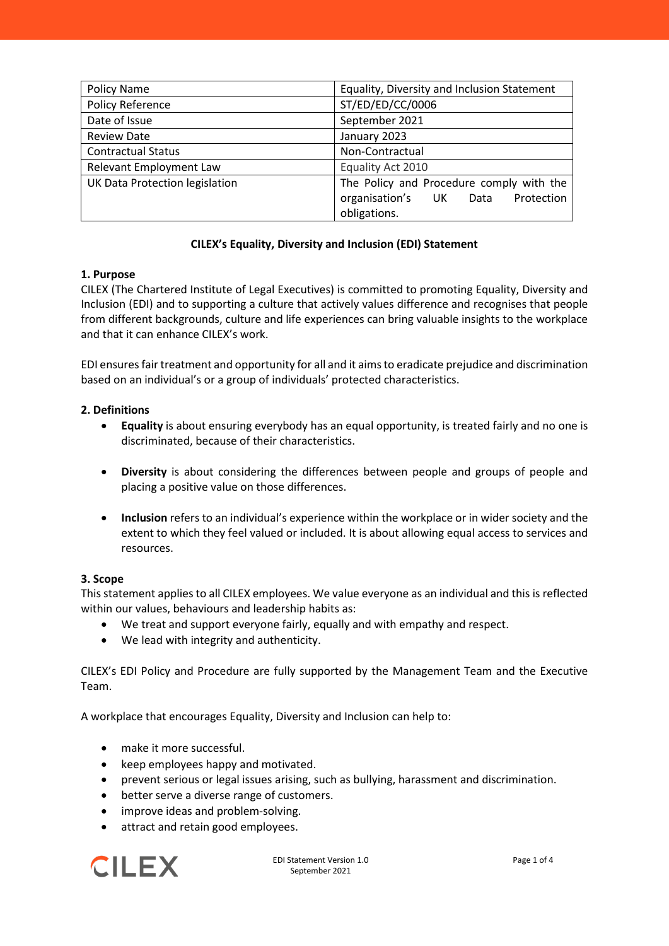| Policy Name                    | Equality, Diversity and Inclusion Statement |
|--------------------------------|---------------------------------------------|
| Policy Reference               | ST/ED/ED/CC/0006                            |
| Date of Issue                  | September 2021                              |
| <b>Review Date</b>             | January 2023                                |
| <b>Contractual Status</b>      | Non-Contractual                             |
| Relevant Employment Law        | Equality Act 2010                           |
| UK Data Protection legislation | The Policy and Procedure comply with the    |
|                                | organisation's UK<br>Protection<br>Data     |
|                                | obligations.                                |

# **CILEX's Equality, Diversity and Inclusion (EDI) Statement**

# **1. Purpose**

CILEX (The Chartered Institute of Legal Executives) is committed to promoting Equality, Diversity and Inclusion (EDI) and to supporting a culture that actively values difference and recognises that people from different backgrounds, culture and life experiences can bring valuable insights to the workplace and that it can enhance CILEX's work.

EDI ensures fair treatment and opportunity for all and it aims to eradicate prejudice and discrimination based on an individual's or a group of individuals' protected characteristics.

# **2. Definitions**

- **Equality** is about ensuring everybody has an equal opportunity, is treated fairly and no one is discriminated, because of their characteristics.
- **Diversity** is about considering the differences between people and groups of people and placing a positive value on those differences.
- **Inclusion** refers to an individual's experience within the workplace or in wider society and the extent to which they feel valued or included. It is about allowing equal access to services and resources.

# **3. Scope**

This statement applies to all CILEX employees. We value everyone as an individual and this is reflected within our values, behaviours and leadership habits as:

- We treat and support everyone fairly, equally and with empathy and respect.
- We lead with integrity and authenticity.

CILEX's EDI Policy and Procedure are fully supported by the Management Team and the Executive Team.

A workplace that encourages Equality, Diversity and Inclusion can help to:

- make it more successful.
- keep employees happy and motivated.
- prevent serious or legal issues arising, such as bullying, harassment and discrimination.
- better serve a diverse range of customers.
- improve ideas and problem-solving.
- attract and retain good employees.

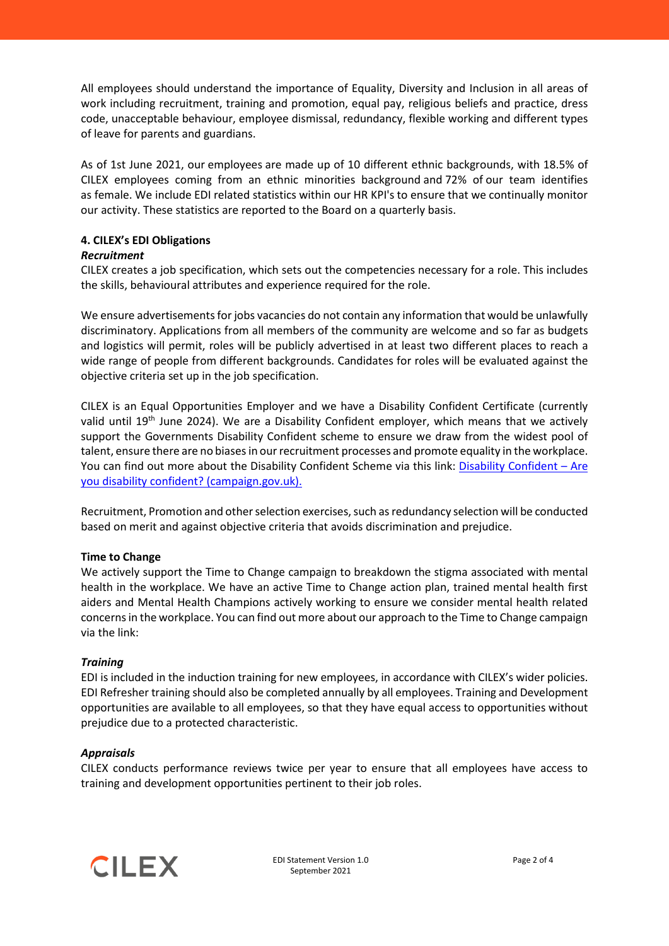All employees should understand the importance of Equality, Diversity and Inclusion in all areas of work including recruitment, training and promotion, equal pay, religious beliefs and practice, dress code, unacceptable behaviour, employee dismissal, redundancy, flexible working and different types of leave for parents and guardians.

As of 1st June 2021, our employees are made up of 10 different ethnic backgrounds, with 18.5% of CILEX employees coming from an ethnic minorities background and 72% of our team identifies as female. We include EDI related statistics within our HR KPI's to ensure that we continually monitor our activity. These statistics are reported to the Board on a quarterly basis.

# **4. CILEX's EDI Obligations**

### *Recruitment*

CILEX creates a job specification, which sets out the competencies necessary for a role. This includes the skills, behavioural attributes and experience required for the role.

We ensure advertisements for jobs vacancies do not contain any information that would be unlawfully discriminatory. Applications from all members of the community are welcome and so far as budgets and logistics will permit, roles will be publicly advertised in at least two different places to reach a wide range of people from different backgrounds. Candidates for roles will be evaluated against the objective criteria set up in the job specification.

CILEX is an Equal Opportunities Employer and we have a Disability Confident Certificate (currently valid until 19<sup>th</sup> June 2024). We are a Disability Confident employer, which means that we actively support the Governments Disability Confident scheme to ensure we draw from the widest pool of talent, ensure there are no biases in our recruitment processes and promote equality in the workplace. You can find out more about the Disability Confident Scheme via this link: [Disability Confident –](https://disabilityconfident.campaign.gov.uk/) Are [you disability confident? \(campaign.gov.uk\).](https://disabilityconfident.campaign.gov.uk/)

Recruitment, Promotion and other selection exercises, such as redundancy selection will be conducted based on merit and against objective criteria that avoids discrimination and prejudice.

### **Time to Change**

We actively support the Time to Change campaign to breakdown the stigma associated with mental health in the workplace. We have an active Time to Change action plan, trained mental health first aiders and Mental Health Champions actively working to ensure we consider mental health related concerns in the workplace. You can find out more about our approach to the Time to Change campaign via the link:

### *Training*

EDI is included in the induction training for new employees, in accordance with CILEX's wider policies. EDI Refresher training should also be completed annually by all employees. Training and Development opportunities are available to all employees, so that they have equal access to opportunities without prejudice due to a protected characteristic.

### *Appraisals*

CILEX conducts performance reviews twice per year to ensure that all employees have access to training and development opportunities pertinent to their job roles.

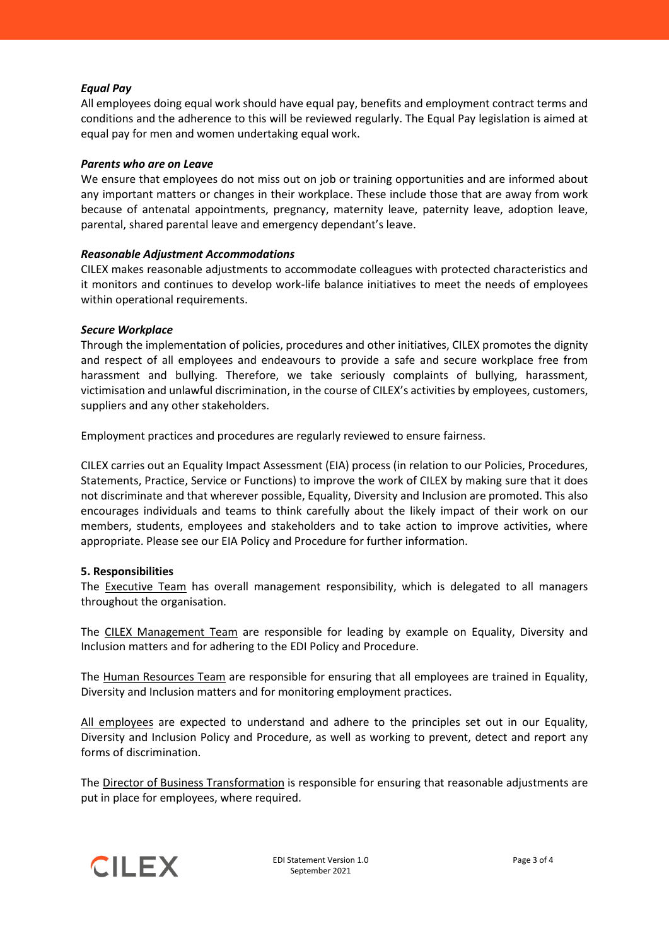### *Equal Pay*

All employees doing equal work should have equal pay, benefits and employment contract terms and conditions and the adherence to this will be reviewed regularly. The Equal Pay legislation is aimed at equal pay for men and women undertaking equal work.

### *Parents who are on Leave*

We ensure that employees do not miss out on job or training opportunities and are informed about any important matters or changes in their workplace. These include those that are away from work because of antenatal appointments, pregnancy, maternity leave, paternity leave, adoption leave, parental, shared parental leave and emergency dependant's leave.

### *Reasonable Adjustment Accommodations*

CILEX makes reasonable adjustments to accommodate colleagues with protected characteristics and it monitors and continues to develop work-life balance initiatives to meet the needs of employees within operational requirements.

### *Secure Workplace*

Through the implementation of policies, procedures and other initiatives, CILEX promotes the dignity and respect of all employees and endeavours to provide a safe and secure workplace free from harassment and bullying. Therefore, we take seriously complaints of bullying, harassment, victimisation and unlawful discrimination, in the course of CILEX's activities by employees, customers, suppliers and any other stakeholders.

Employment practices and procedures are regularly reviewed to ensure fairness.

CILEX carries out an Equality Impact Assessment (EIA) process (in relation to our Policies, Procedures, Statements, Practice, Service or Functions) to improve the work of CILEX by making sure that it does not discriminate and that wherever possible, Equality, Diversity and Inclusion are promoted. This also encourages individuals and teams to think carefully about the likely impact of their work on our members, students, employees and stakeholders and to take action to improve activities, where appropriate. Please see our EIA Policy and Procedure for further information.

### **5. Responsibilities**

The Executive Team has overall management responsibility, which is delegated to all managers throughout the organisation.

The CILEX Management Team are responsible for leading by example on Equality, Diversity and Inclusion matters and for adhering to the EDI Policy and Procedure.

The Human Resources Team are responsible for ensuring that all employees are trained in Equality, Diversity and Inclusion matters and for monitoring employment practices.

All employees are expected to understand and adhere to the principles set out in our Equality, Diversity and Inclusion Policy and Procedure, as well as working to prevent, detect and report any forms of discrimination.

The Director of Business Transformation is responsible for ensuring that reasonable adjustments are put in place for employees, where required.